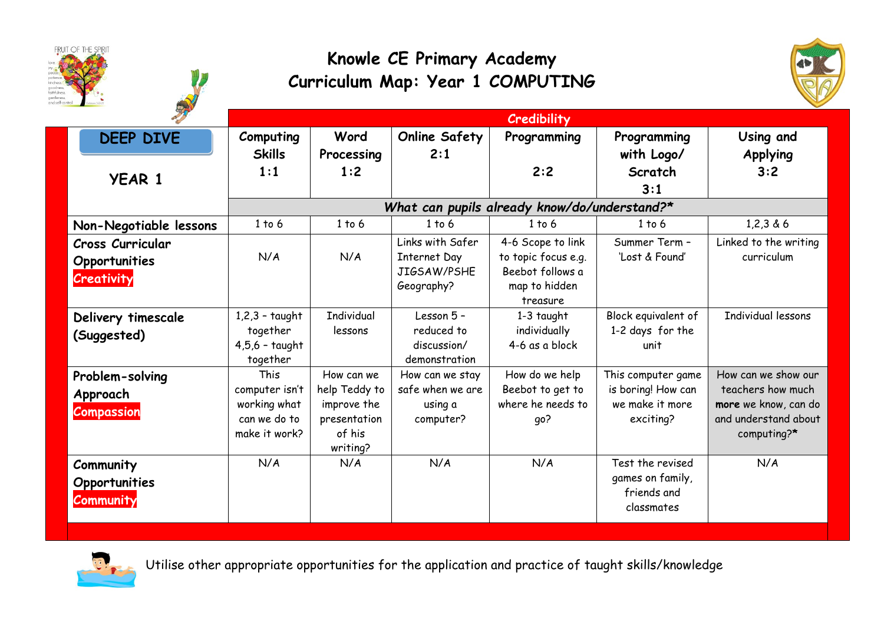





|                                                  | Credibility                                                                    |                                                                                  |                                                               |                                                                                           |                                                                          |                                                                                                         |  |
|--------------------------------------------------|--------------------------------------------------------------------------------|----------------------------------------------------------------------------------|---------------------------------------------------------------|-------------------------------------------------------------------------------------------|--------------------------------------------------------------------------|---------------------------------------------------------------------------------------------------------|--|
| <b>DEEP DIVE</b>                                 | Computing                                                                      | Word                                                                             | <b>Online Safety</b>                                          | Programming                                                                               | Programming                                                              | Using and                                                                                               |  |
| <b>YEAR 1</b>                                    | <b>Skills</b><br>1:1                                                           | Processing<br>1:2                                                                | 2:1                                                           | 2:2                                                                                       | with Logo/<br>Scratch                                                    | <b>Applying</b><br>3:2                                                                                  |  |
|                                                  | 3:1<br>What can pupils already know/do/understand?*                            |                                                                                  |                                                               |                                                                                           |                                                                          |                                                                                                         |  |
| Non-Negotiable lessons                           | 1 to 6                                                                         | 1 to 6                                                                           | 1 to 6                                                        | 1 to 6                                                                                    | $1$ to $6$                                                               | 1,2,3,8,6                                                                                               |  |
| Cross Curricular<br>Opportunities<br>Creativity  | N/A                                                                            | N/A                                                                              | Links with Safer<br>Internet Day<br>JIGSAW/PSHE<br>Geography? | 4-6 Scope to link<br>to topic focus e.g.<br>Beebot follows a<br>map to hidden<br>treasure | Summer Term -<br>'Lost & Found'                                          | Linked to the writing<br>curriculum                                                                     |  |
| Delivery timescale<br>(Suggested)                | $1,2,3$ - taught<br>together<br>$4,5,6$ - taught<br>together                   | <b>Individual</b><br>lessons                                                     | Lesson 5 -<br>reduced to<br>discussion/<br>demonstration      | $1-3$ taught<br>individually<br>4-6 as a block                                            | Block equivalent of<br>1-2 days for the<br>unit                          | Individual lessons                                                                                      |  |
| Problem-solving<br>Approach<br><b>Compassion</b> | <b>This</b><br>computer isn't<br>working what<br>can we do to<br>make it work? | How can we<br>help Teddy to<br>improve the<br>presentation<br>of his<br>writing? | How can we stay<br>safe when we are<br>using a<br>computer?   | How do we help<br>Beebot to get to<br>where he needs to<br>qo?                            | This computer game<br>is boring! How can<br>we make it more<br>exciting? | How can we show our<br>teachers how much<br>more we know, can do<br>and understand about<br>computing?* |  |
| Community<br>Opportunities<br><b>Community</b>   | N/A                                                                            | N/A                                                                              | N/A                                                           | N/A                                                                                       | Test the revised<br>games on family,<br>friends and<br>classmates        | N/A                                                                                                     |  |



Utilise other appropriate opportunities for the application and practice of taught skills/knowledge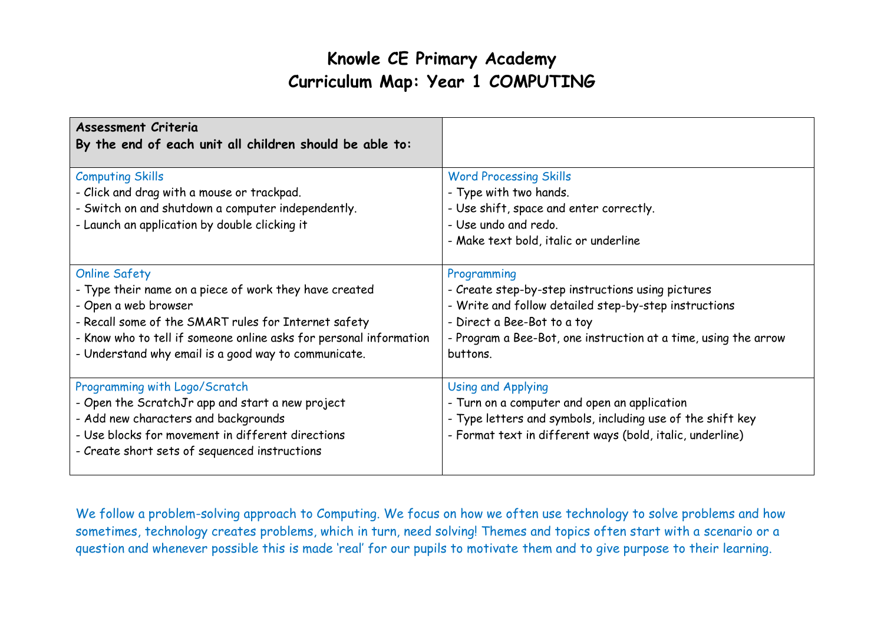## **Knowle CE Primary Academy Curriculum Map: Year 1 COMPUTING**

| <b>Assessment Criteria</b><br>By the end of each unit all children should be able to:                                                                                                                                                                                                        |                                                                                                                                                                                                                                         |
|----------------------------------------------------------------------------------------------------------------------------------------------------------------------------------------------------------------------------------------------------------------------------------------------|-----------------------------------------------------------------------------------------------------------------------------------------------------------------------------------------------------------------------------------------|
| <b>Computing Skills</b><br>- Click and drag with a mouse or trackpad.<br>- Switch on and shutdown a computer independently.<br>- Launch an application by double clicking it                                                                                                                 | <b>Word Processing Skills</b><br>- Type with two hands.<br>- Use shift, space and enter correctly.<br>- Use undo and redo.<br>- Make text bold, italic or underline                                                                     |
| <b>Online Safety</b><br>- Type their name on a piece of work they have created<br>- Open a web browser<br>- Recall some of the SMART rules for Internet safety<br>- Know who to tell if someone online asks for personal information<br>- Understand why email is a good way to communicate. | Programming<br>- Create step-by-step instructions using pictures<br>- Write and follow detailed step-by-step instructions<br>- Direct a Bee-Bot to a toy<br>- Program a Bee-Bot, one instruction at a time, using the arrow<br>buttons. |
| Programming with Logo/Scratch<br>- Open the ScratchJr app and start a new project<br>- Add new characters and backgrounds<br>- Use blocks for movement in different directions<br>- Create short sets of sequenced instructions                                                              | <b>Using and Applying</b><br>- Turn on a computer and open an application<br>- Type letters and symbols, including use of the shift key<br>- Format text in different ways (bold, italic, underline)                                    |

We follow a problem-solving approach to Computing. We focus on how we often use technology to solve problems and how sometimes, technology creates problems, which in turn, need solving! Themes and topics often start with a scenario or a question and whenever possible this is made 'real' for our pupils to motivate them and to give purpose to their learning.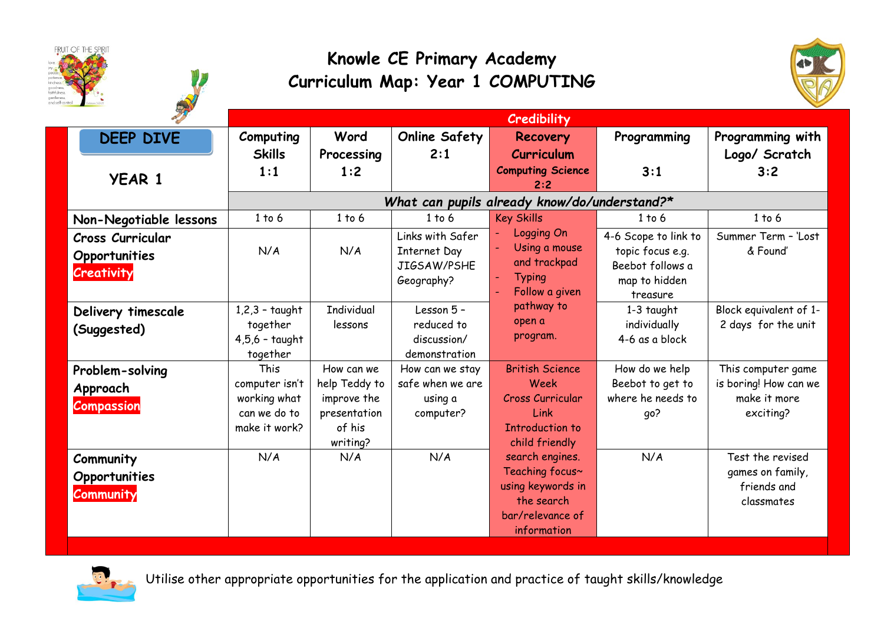





|                         | Credibility                                  |                        |                      |                                 |                      |                        |
|-------------------------|----------------------------------------------|------------------------|----------------------|---------------------------------|----------------------|------------------------|
| <b>DEEP DIVE</b>        | Computing                                    | Word                   | <b>Online Safety</b> | Recovery                        | Programming          | Programming with       |
|                         | <b>Skills</b>                                | Processing             | 2:1                  | Curriculum                      |                      | Logo/ Scratch          |
|                         | 1:1                                          | 1:2                    |                      | <b>Computing Science</b>        | 3:1                  | 3:2                    |
| <b>YEAR 1</b>           |                                              |                        |                      | 2:2                             |                      |                        |
|                         | What can pupils already know/do/understand?* |                        |                      |                                 |                      |                        |
| Non-Negotiable lessons  | 1 to 6                                       | 1 to 6                 | 1 to 6               | <b>Key Skills</b>               | 1 to 6               | 1 to 6                 |
| <b>Cross Curricular</b> |                                              |                        | Links with Safer     | Logging On                      | 4-6 Scope to link to | Summer Term - 'Lost    |
| Opportunities           | N/A                                          | N/A                    | <b>Internet Day</b>  | Using a mouse                   | topic focus e.g.     | & Found'               |
| <b>Creativity</b>       |                                              |                        | JIGSAW/PSHE          | and trackpad                    | Beebot follows a     |                        |
|                         |                                              |                        | Geography?           | <b>Typing</b>                   | map to hidden        |                        |
|                         |                                              |                        |                      | Follow a given                  | treasure             |                        |
| Delivery timescale      | $1,2,3$ - taught                             | <b>Individual</b>      | Lesson 5 -           | pathway to                      | $1-3$ taught         | Block equivalent of 1- |
| (Suggested)             | together                                     | lessons                | reduced to           | open a<br>program.              | individually         | 2 days for the unit    |
|                         | $4,5,6$ - taught                             |                        | discussion/          |                                 | 4-6 as a block       |                        |
|                         | together                                     |                        | demonstration        |                                 |                      |                        |
| Problem-solving         | This                                         | How can we             | How can we stay      | <b>British Science</b>          | How do we help       | This computer game     |
| Approach                | computer isn't                               | help Teddy to          | safe when we are     | Week                            | Beebot to get to     | is boring! How can we  |
| <b>Compassion</b>       | working what<br>can we do to                 | improve the            | using a              | <b>Cross Curricular</b><br>Link | where he needs to    | make it more           |
|                         | make it work?                                | presentation<br>of his | computer?            | <b>Introduction to</b>          | qo?                  | exciting?              |
|                         |                                              | writing?               |                      | child friendly                  |                      |                        |
|                         | N/A                                          | N/A                    | N/A                  | search engines.                 | N/A                  | Test the revised       |
| Community               |                                              |                        |                      | Teaching focus~                 |                      | games on family,       |
| Opportunities           |                                              |                        |                      | using keywords in               |                      | friends and            |
| Community               |                                              |                        |                      | the search                      |                      | classmates             |
|                         |                                              |                        |                      | bar/relevance of                |                      |                        |
|                         |                                              |                        |                      | information                     |                      |                        |



Utilise other appropriate opportunities for the application and practice of taught skills/knowledge